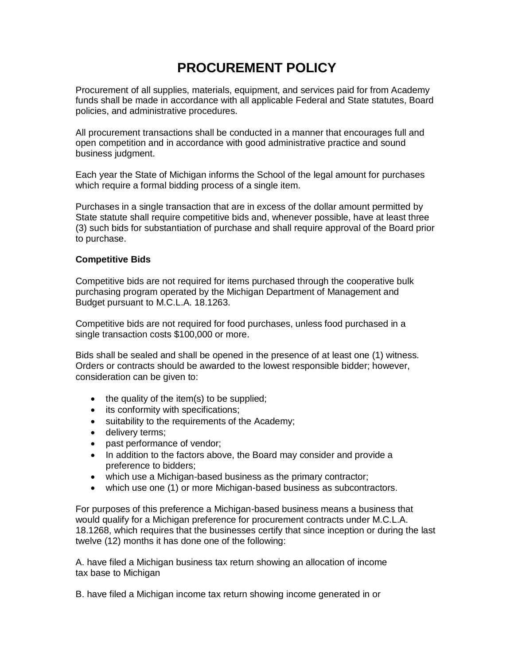# **PROCUREMENT POLICY**

Procurement of all supplies, materials, equipment, and services paid for from Academy funds shall be made in accordance with all applicable Federal and State statutes, Board policies, and administrative procedures.

All procurement transactions shall be conducted in a manner that encourages full and open competition and in accordance with good administrative practice and sound business judgment.

Each year the State of Michigan informs the School of the legal amount for purchases which require a formal bidding process of a single item.

Purchases in a single transaction that are in excess of the dollar amount permitted by State statute shall require competitive bids and, whenever possible, have at least three (3) such bids for substantiation of purchase and shall require approval of the Board prior to purchase.

# **Competitive Bids**

Competitive bids are not required for items purchased through the cooperative bulk purchasing program operated by the Michigan Department of Management and Budget pursuant to M.C.L.A. 18.1263.

Competitive bids are not required for food purchases, unless food purchased in a single transaction costs \$100,000 or more.

Bids shall be sealed and shall be opened in the presence of at least one (1) witness. Orders or contracts should be awarded to the lowest responsible bidder; however, consideration can be given to:

- $\bullet$  the quality of the item(s) to be supplied;
- its conformity with specifications;
- suitability to the requirements of the Academy:
- delivery terms;
- past performance of vendor;
- In addition to the factors above, the Board may consider and provide a preference to bidders;
- which use a Michigan-based business as the primary contractor;
- which use one (1) or more Michigan-based business as subcontractors.

For purposes of this preference a Michigan-based business means a business that would qualify for a Michigan preference for procurement contracts under M.C.L.A. 18.1268, which requires that the businesses certify that since inception or during the last twelve (12) months it has done one of the following:

A. have filed a Michigan business tax return showing an allocation of income tax base to Michigan

B. have filed a Michigan income tax return showing income generated in or